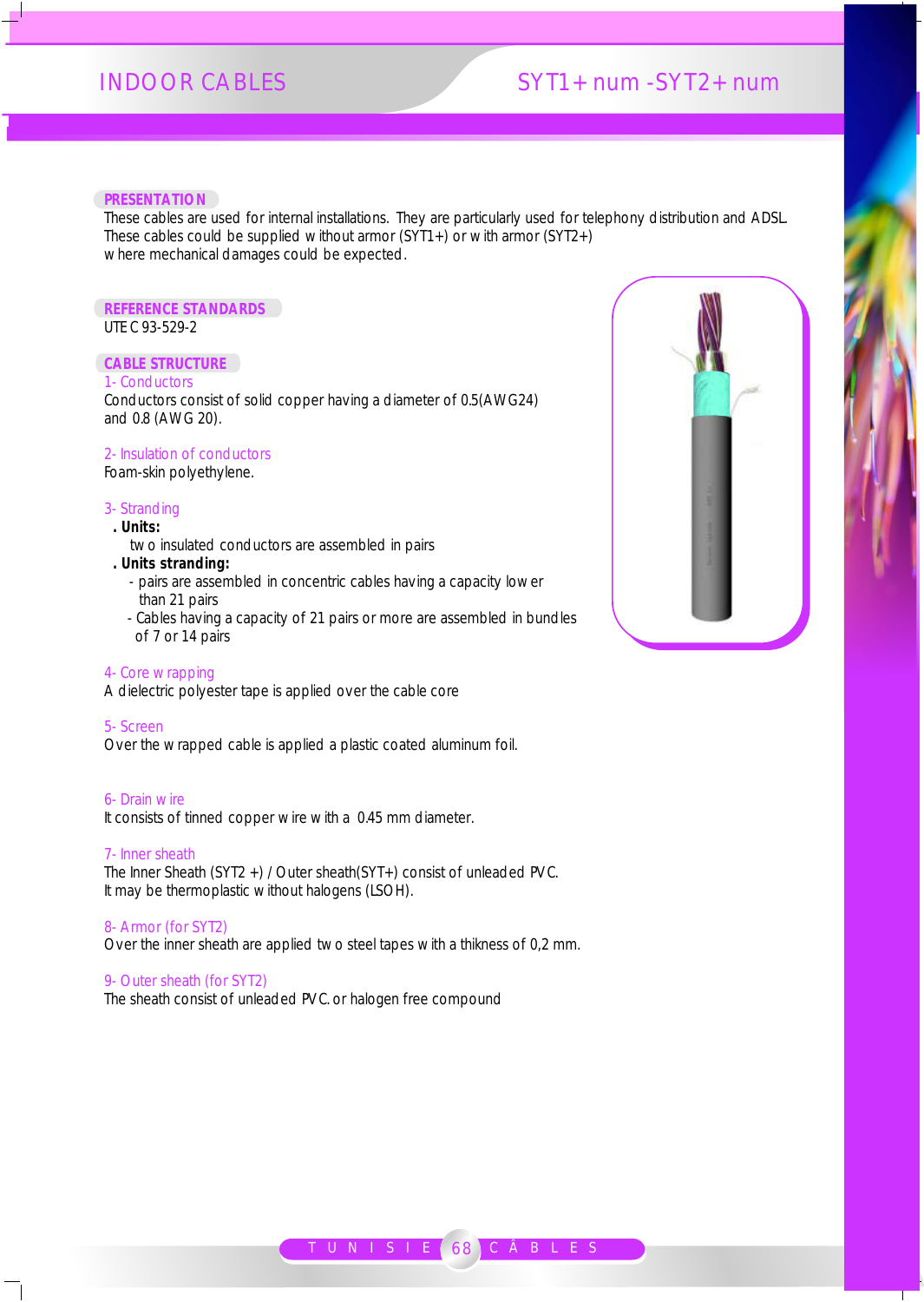# INDOOR CABLES SYT1+ num -SYT2+ num

#### **PRESENTATION**

These cables are used for internal installations. They are particularly used for telephony distribution and ADSL. These cables could be supplied without armor (SYT1+) or with armor (SYT2+) where mechanical damages could be expected.

# **REFERENCE STANDARDS**

UTE C 93-529-2

# **CABLE STRUCTURE**

# 1- Conductors

Conductors consist of solid copper having a diameter of 0.5(AWG24) and 0.8 (AWG 20).

# 2- Insulation of conductors

Foam-skin polyethylene.

### 3- Stranding

- **. Units:**
- two insulated conductors are assembled in pairs
- **. Units stranding:** 
	- pairs are assembled in concentric cables having a capacity lower than 21 pairs
	- Cables having a capacity of 21 pairs or more are assembled in bundles of 7 or 14 pairs

# 4- Core wrapping

A dielectric polyester tape is applied over the cable core

#### 5- Screen

Over the wrapped cable is applied a plastic coated aluminum foil.

#### 6- Drain wire

It consists of tinned copper wire with a 0.45 mm diameter.

#### 7- Inner sheath

The Inner Sheath (SYT2 +) / Outer sheath(SYT+) consist of unleaded PVC. It may be thermoplastic without halogens (LSOH).

#### 8- Armor (for SYT2)

Over the inner sheath are applied two steel tapes with a thikness of 0,2 mm.

### 9- Outer sheath (for SYT2)

The sheath consist of unleaded PVC. or halogen free compound



Т